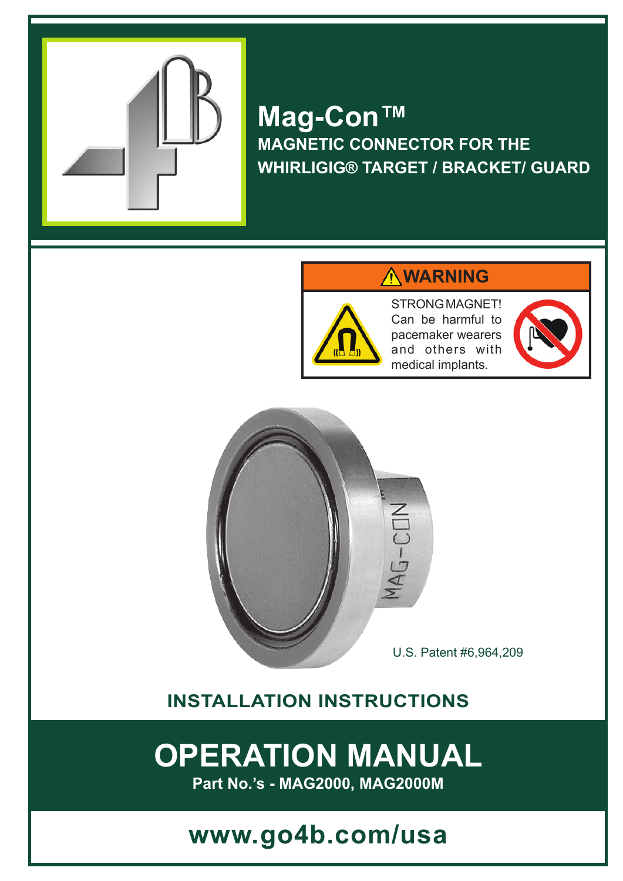

# **Mag-Con™ MAGNETIC CONNECTOR FOR THE WHIRLIGIG® TARGET / BRACKET/ GUARD**

## **WARNING**



STRONG MAGNET! Can be harmful to pacemaker wearers and others with medical implants.





U.S. Patent #6,964,209

# **INSTALLATION INSTRUCTIONS**

# **OPERATION MANUAL**

**Part No.'s - MAG2000, MAG2000M**

# **www.go4b.com/usa**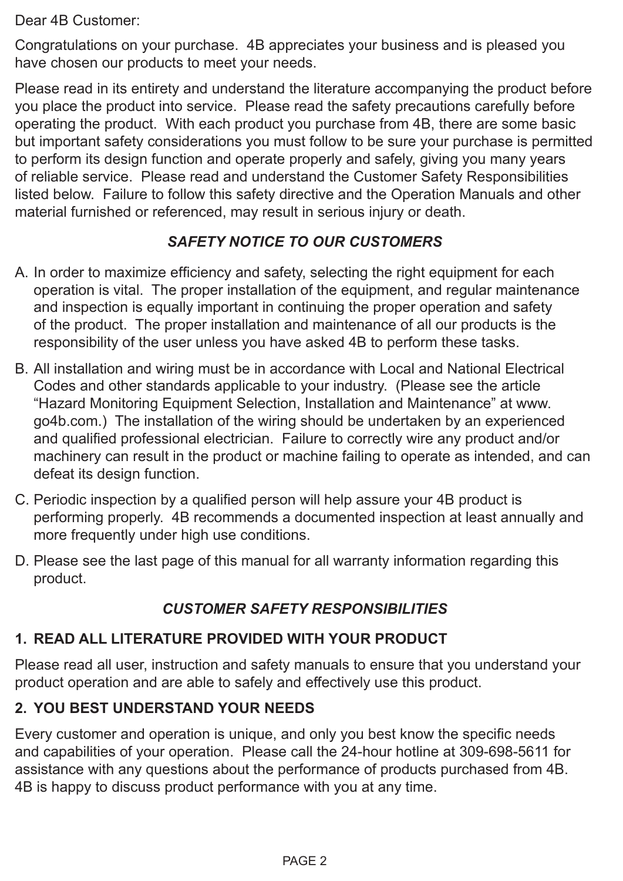Dear 4B Customer:

Congratulations on your purchase. 4B appreciates your business and is pleased you have chosen our products to meet your needs.

Please read in its entirety and understand the literature accompanying the product before you place the product into service. Please read the safety precautions carefully before operating the product. With each product you purchase from 4B, there are some basic but important safety considerations you must follow to be sure your purchase is permitted to perform its design function and operate properly and safely, giving you many years of reliable service. Please read and understand the Customer Safety Responsibilities listed below. Failure to follow this safety directive and the Operation Manuals and other material furnished or referenced, may result in serious injury or death.

### *SAFETY NOTICE TO OUR CUSTOMERS*

- A. In order to maximize efficiency and safety, selecting the right equipment for each operation is vital. The proper installation of the equipment, and regular maintenance and inspection is equally important in continuing the proper operation and safety of the product. The proper installation and maintenance of all our products is the responsibility of the user unless you have asked 4B to perform these tasks.
- B. All installation and wiring must be in accordance with Local and National Electrical Codes and other standards applicable to your industry. (Please see the article "Hazard Monitoring Equipment Selection, Installation and Maintenance" at www. go4b.com.) The installation of the wiring should be undertaken by an experienced and qualified professional electrician. Failure to correctly wire any product and/or machinery can result in the product or machine failing to operate as intended, and can defeat its design function.
- C. Periodic inspection by a qualified person will help assure your 4B product is performing properly. 4B recommends a documented inspection at least annually and more frequently under high use conditions.
- D. Please see the last page of this manual for all warranty information regarding this product.

## *CUSTOMER SAFETY RESPONSIBILITIES*

### **1. READ ALL LITERATURE PROVIDED WITH YOUR PRODUCT**

Please read all user, instruction and safety manuals to ensure that you understand your product operation and are able to safely and effectively use this product.

### **2. YOU BEST UNDERSTAND YOUR NEEDS**

Every customer and operation is unique, and only you best know the specific needs and capabilities of your operation. Please call the 24-hour hotline at 309-698-5611 for assistance with any questions about the performance of products purchased from 4B. 4B is happy to discuss product performance with you at any time.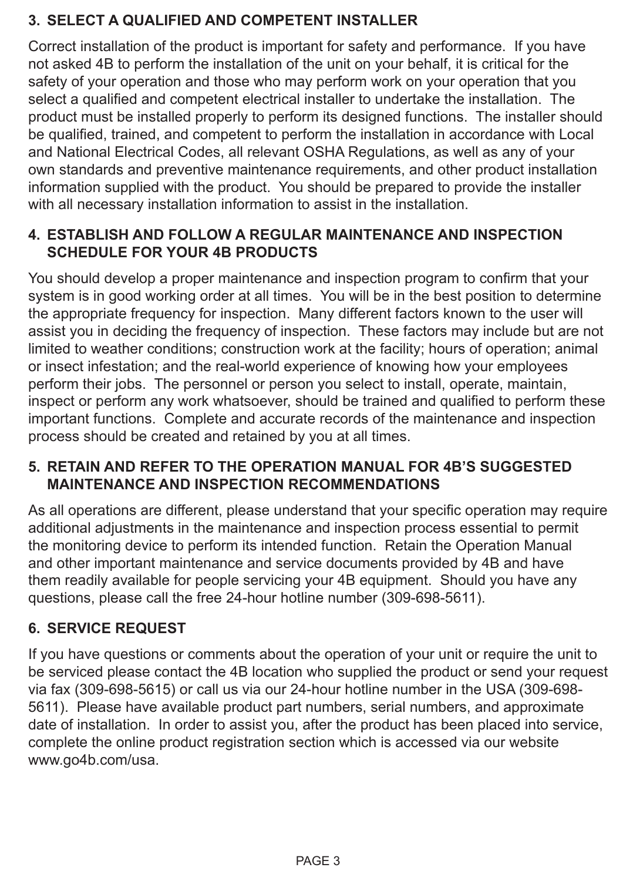### **3. SELECT A QUALIFIED AND COMPETENT INSTALLER**

Correct installation of the product is important for safety and performance. If you have not asked 4B to perform the installation of the unit on your behalf, it is critical for the safety of your operation and those who may perform work on your operation that you select a qualified and competent electrical installer to undertake the installation. The product must be installed properly to perform its designed functions. The installer should be qualified, trained, and competent to perform the installation in accordance with Local and National Electrical Codes, all relevant OSHA Regulations, as well as any of your own standards and preventive maintenance requirements, and other product installation information supplied with the product. You should be prepared to provide the installer with all necessary installation information to assist in the installation.

### **4. ESTABLISH AND FOLLOW A REGULAR MAINTENANCE AND INSPECTION SCHEDULE FOR YOUR 4B PRODUCTS**

You should develop a proper maintenance and inspection program to confirm that your system is in good working order at all times. You will be in the best position to determine the appropriate frequency for inspection. Many different factors known to the user will assist you in deciding the frequency of inspection. These factors may include but are not limited to weather conditions; construction work at the facility; hours of operation; animal or insect infestation; and the real-world experience of knowing how your employees perform their jobs. The personnel or person you select to install, operate, maintain, inspect or perform any work whatsoever, should be trained and qualified to perform these important functions. Complete and accurate records of the maintenance and inspection process should be created and retained by you at all times.

### **5. RETAIN AND REFER TO THE OPERATION MANUAL FOR 4B'S SUGGESTED MAINTENANCE AND INSPECTION RECOMMENDATIONS**

As all operations are different, please understand that your specific operation may require additional adjustments in the maintenance and inspection process essential to permit the monitoring device to perform its intended function. Retain the Operation Manual and other important maintenance and service documents provided by 4B and have them readily available for people servicing your 4B equipment. Should you have any questions, please call the free 24-hour hotline number (309-698-5611).

### **6. SERVICE REQUEST**

If you have questions or comments about the operation of your unit or require the unit to be serviced please contact the 4B location who supplied the product or send your request via fax (309-698-5615) or call us via our 24-hour hotline number in the USA (309-698- 5611). Please have available product part numbers, serial numbers, and approximate date of installation. In order to assist you, after the product has been placed into service, complete the online product registration section which is accessed via our website www.go4b.com/usa.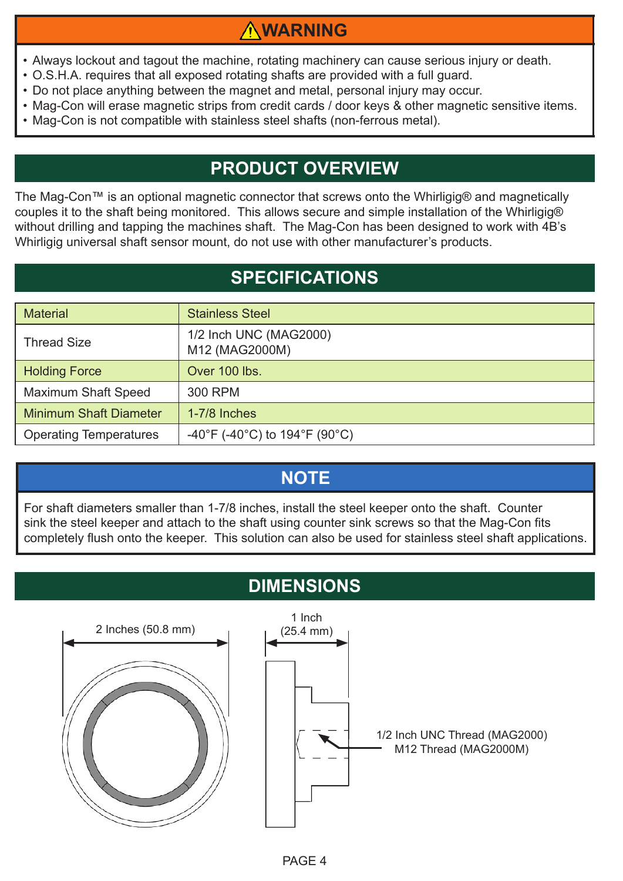# **WARNING**

- Always lockout and tagout the machine, rotating machinery can cause serious injury or death.
- O.S.H.A. requires that all exposed rotating shafts are provided with a full guard.
- Do not place anything between the magnet and metal, personal injury may occur.
- Mag-Con will erase magnetic strips from credit cards / door keys & other magnetic sensitive items.
- Mag-Con is not compatible with stainless steel shafts (non-ferrous metal).

# **PRODUCT OVERVIEW**

The Mag-Con™ is an optional magnetic connector that screws onto the Whirligig® and magnetically couples it to the shaft being monitored. This allows secure and simple installation of the Whirligig® without drilling and tapping the machines shaft. The Mag-Con has been designed to work with 4B's Whirligig universal shaft sensor mount, do not use with other manufacturer's products.

# **SPECIFICATIONS**

| <b>Material</b>               | <b>Stainless Steel</b>                   |
|-------------------------------|------------------------------------------|
| <b>Thread Size</b>            | 1/2 Inch UNC (MAG2000)<br>M12 (MAG2000M) |
| <b>Holding Force</b>          | Over 100 lbs.                            |
| <b>Maximum Shaft Speed</b>    | 300 RPM                                  |
| <b>Minimum Shaft Diameter</b> | $1-7/8$ Inches                           |
| <b>Operating Temperatures</b> | -40°F (-40°C) to 194°F (90°C)            |

# **NOTE**

For shaft diameters smaller than 1-7/8 inches, install the steel keeper onto the shaft. Counter sink the steel keeper and attach to the shaft using counter sink screws so that the Mag-Con fits completely flush onto the keeper. This solution can also be used for stainless steel shaft applications.

# **DIMENSIONS**

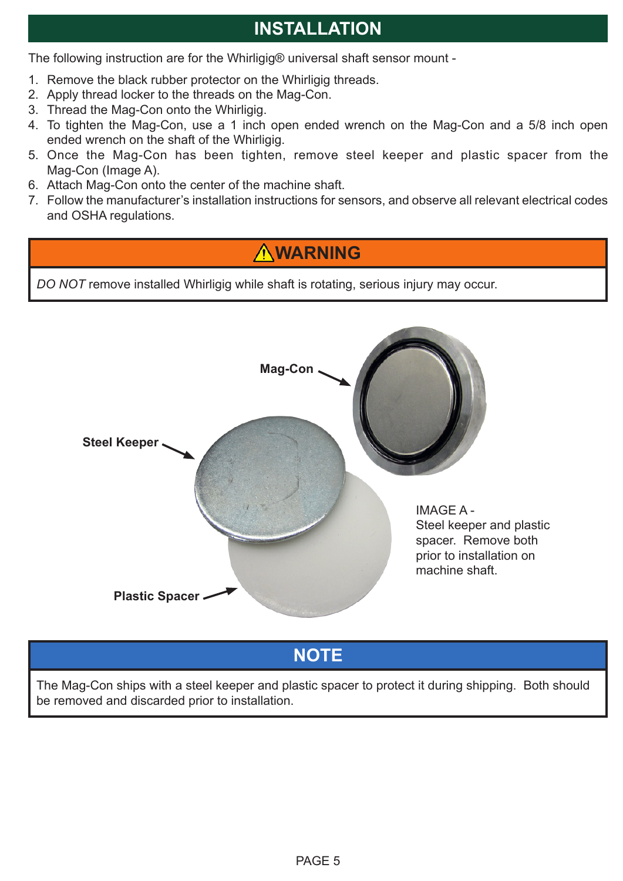# **INSTALLATION**

The following instruction are for the Whirligig® universal shaft sensor mount -

- 1. Remove the black rubber protector on the Whirligig threads.
- 2. Apply thread locker to the threads on the Mag-Con.
- 3. Thread the Mag-Con onto the Whirligig.
- 4. To tighten the Mag-Con, use a 1 inch open ended wrench on the Mag-Con and a 5/8 inch open ended wrench on the shaft of the Whirligig.
- 5. Once the Mag-Con has been tighten, remove steel keeper and plastic spacer from the Mag-Con (Image A).
- 6. Attach Mag-Con onto the center of the machine shaft.
- 7. Follow the manufacturer's installation instructions for sensors, and observe all relevant electrical codes and OSHA regulations.

# **WARNING**

*DO NOT* remove installed Whirligig while shaft is rotating, serious injury may occur.



**NOTE**

The Mag-Con ships with a steel keeper and plastic spacer to protect it during shipping. Both should be removed and discarded prior to installation.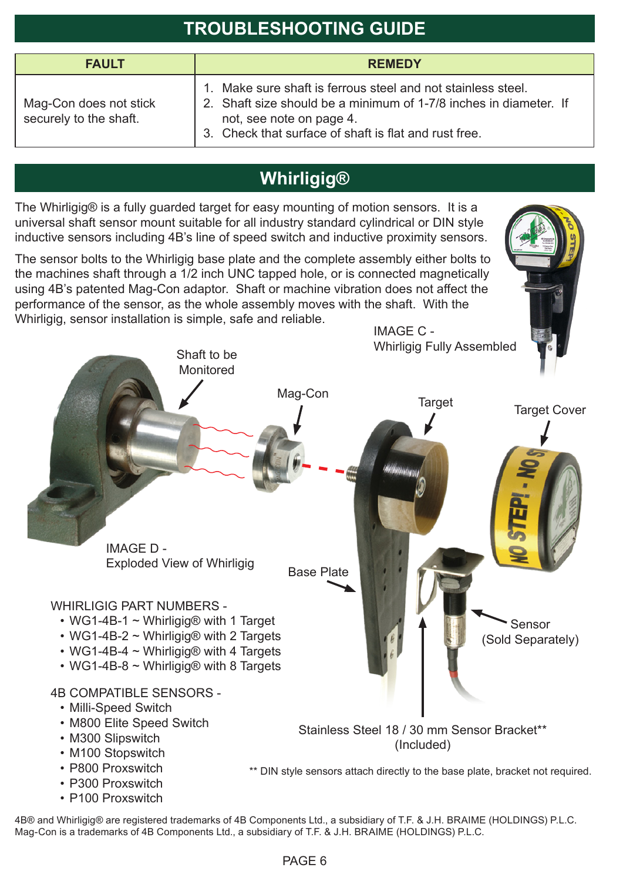# **TROUBLESHOOTING GUIDE**

| <b>FAULT</b>                                     | <b>REMEDY</b>                                                                                                                                                                                                                       |
|--------------------------------------------------|-------------------------------------------------------------------------------------------------------------------------------------------------------------------------------------------------------------------------------------|
| Mag-Con does not stick<br>securely to the shaft. | Make sure shaft is ferrous steel and not stainless steel.<br>$\mathbf{1}$<br>2. Shaft size should be a minimum of 1-7/8 inches in diameter. If<br>not, see note on page 4.<br>3. Check that surface of shaft is flat and rust free. |

# **Whirligig®**

The Whirligig® is a fully guarded target for easy mounting of motion sensors. It is a universal shaft sensor mount suitable for all industry standard cylindrical or DIN style inductive sensors including 4B's line of speed switch and inductive proximity sensors.

The sensor bolts to the Whirligig base plate and the complete assembly either bolts to the machines shaft through a 1/2 inch UNC tapped hole, or is connected magnetically using 4B's patented Mag-Con adaptor. Shaft or machine vibration does not affect the performance of the sensor, as the whole assembly moves with the shaft. With the Whirligig, sensor installation is simple, safe and reliable.

> Shaft to be Monitored

IMAGE C - Whirligig Fully Assembled



4B® and Whirligig® are registered trademarks of 4B Components Ltd., a subsidiary of T.F. & J.H. BRAIME (HOLDINGS) P.L.C. Mag-Con is a trademarks of 4B Components Ltd., a subsidiary of T.F. & J.H. BRAIME (HOLDINGS) P.L.C.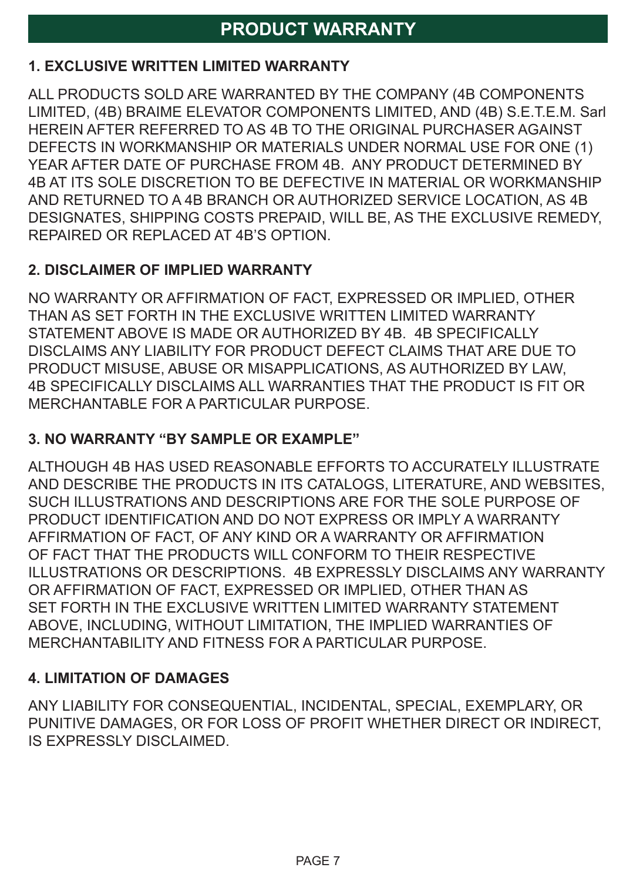## **PRODUCT WARRANTY**

#### **1. EXCLUSIVE WRITTEN LIMITED WARRANTY**

ALL PRODUCTS SOLD ARE WARRANTED BY THE COMPANY (4B COMPONENTS LIMITED, (4B) BRAIME ELEVATOR COMPONENTS LIMITED, AND (4B) S.E.T.E.M. Sarl HEREIN AFTER REFERRED TO AS 4B TO THE ORIGINAL PURCHASER AGAINST DEFECTS IN WORKMANSHIP OR MATERIALS UNDER NORMAL USE FOR ONE (1) YEAR AFTER DATE OF PURCHASE FROM 4B. ANY PRODUCT DETERMINED BY 4B AT ITS SOLE DISCRETION TO BE DEFECTIVE IN MATERIAL OR WORKMANSHIP AND RETURNED TO A 4B BRANCH OR AUTHORIZED SERVICE LOCATION, AS 4B DESIGNATES, SHIPPING COSTS PREPAID, WILL BE, AS THE EXCLUSIVE REMEDY, REPAIRED OR REPLACED AT 4B'S OPTION.

#### **2. DISCLAIMER OF IMPLIED WARRANTY**

NO WARRANTY OR AFFIRMATION OF FACT, EXPRESSED OR IMPLIED, OTHER THAN AS SET FORTH IN THE EXCLUSIVE WRITTEN LIMITED WARRANTY STATEMENT ABOVE IS MADE OR AUTHORIZED BY 4B. 4B SPECIFICALLY DISCLAIMS ANY LIABILITY FOR PRODUCT DEFECT CLAIMS THAT ARE DUE TO PRODUCT MISUSE, ABUSE OR MISAPPLICATIONS, AS AUTHORIZED BY LAW, 4B SPECIFICALLY DISCLAIMS ALL WARRANTIES THAT THE PRODUCT IS FIT OR MERCHANTABLE FOR A PARTICULAR PURPOSE.

#### **3. NO WARRANTY "BY SAMPLE OR EXAMPLE"**

ALTHOUGH 4B HAS USED REASONABLE EFFORTS TO ACCURATELY ILLUSTRATE AND DESCRIBE THE PRODUCTS IN ITS CATALOGS, LITERATURE, AND WEBSITES, SUCH ILLUSTRATIONS AND DESCRIPTIONS ARE FOR THE SOLE PURPOSE OF PRODUCT IDENTIFICATION AND DO NOT EXPRESS OR IMPLY A WARRANTY AFFIRMATION OF FACT, OF ANY KIND OR A WARRANTY OR AFFIRMATION OF FACT THAT THE PRODUCTS WILL CONFORM TO THEIR RESPECTIVE ILLUSTRATIONS OR DESCRIPTIONS. 4B EXPRESSLY DISCLAIMS ANY WARRANTY OR AFFIRMATION OF FACT, EXPRESSED OR IMPLIED, OTHER THAN AS SET FORTH IN THE EXCLUSIVE WRITTEN LIMITED WARRANTY STATEMENT ABOVE, INCLUDING, WITHOUT LIMITATION, THE IMPLIED WARRANTIES OF MERCHANTABILITY AND FITNESS FOR A PARTICULAR PURPOSE.

#### **4. LIMITATION OF DAMAGES**

ANY LIABILITY FOR CONSEQUENTIAL, INCIDENTAL, SPECIAL, EXEMPLARY, OR PUNITIVE DAMAGES, OR FOR LOSS OF PROFIT WHETHER DIRECT OR INDIRECT, IS EXPRESSLY DISCLAIMED.